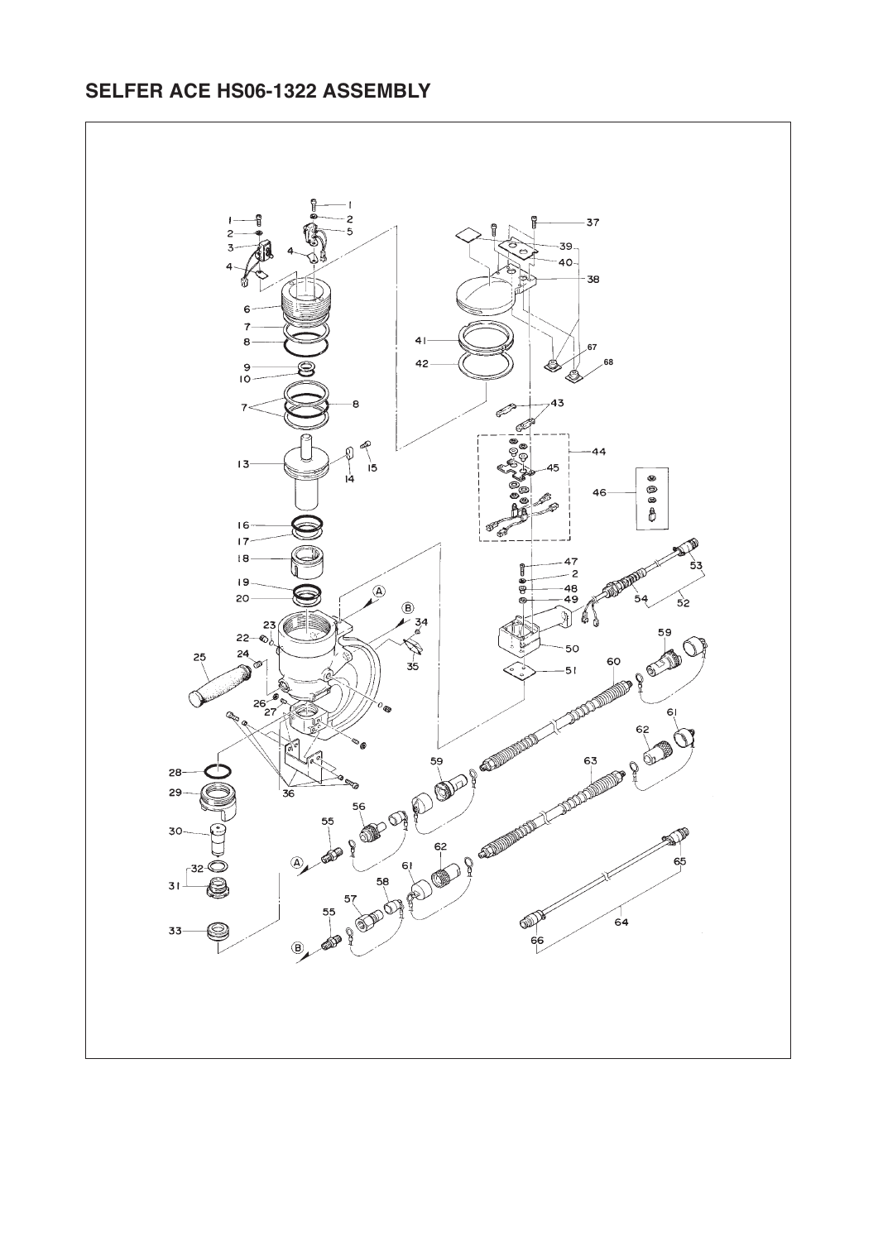## **SELFER ACE HS06-1322 ASSEMBLY**